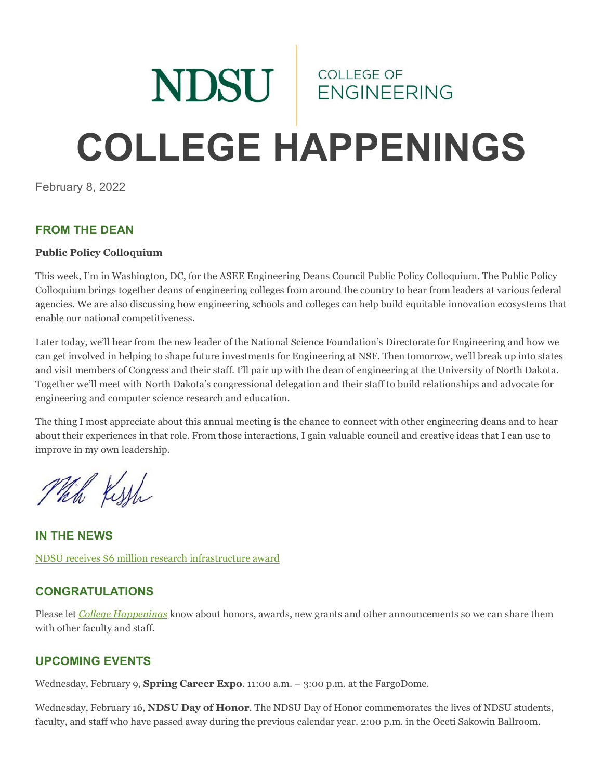# NDSU ENGINEERING **COLLEGE HAPPENINGS**

February 8, 2022

#### **FROM THE DEAN**

#### **Public Policy Colloquium**

This week, I'm in Washington, DC, for the ASEE Engineering Deans Council Public Policy Colloquium. The Public Policy Colloquium brings together deans of engineering colleges from around the country to hear from leaders at various federal agencies. We are also discussing how engineering schools and colleges can help build equitable innovation ecosystems that enable our national competitiveness.

Later today, we'll hear from the new leader of the National Science Foundation's Directorate for Engineering and how we can get involved in helping to shape future investments for Engineering at NSF. Then tomorrow, we'll break up into states and visit members of Congress and their staff. I'll pair up with the dean of engineering at the University of North Dakota. Together we'll meet with North Dakota's congressional delegation and their staff to build relationships and advocate for engineering and computer science research and education.

The thing I most appreciate about this annual meeting is the chance to connect with other engineering deans and to hear about their experiences in that role. From those interactions, I gain valuable council and creative ideas that I can use to improve in my own leadership.

Which Kissh

**IN THE NEWS** [NDSU receives \\$6 million research infrastructure award](https://www.ndsu.edu/news/view/detail/67305/)

#### **CONGRATULATIONS**

Please let *[College Happenings](mailto:kyle.bosch@ndsu.edu)* know about honors, awards, new grants and other announcements so we can share them with other faculty and staff.

#### **UPCOMING EVENTS**

Wednesday, February 9, **Spring Career Expo**. 11:00 a.m. – 3:00 p.m. at the FargoDome.

Wednesday, February 16, **NDSU Day of Honor**. The NDSU Day of Honor commemorates the lives of NDSU students, faculty, and staff who have passed away during the previous calendar year. 2:00 p.m. in the Oceti Sakowin Ballroom.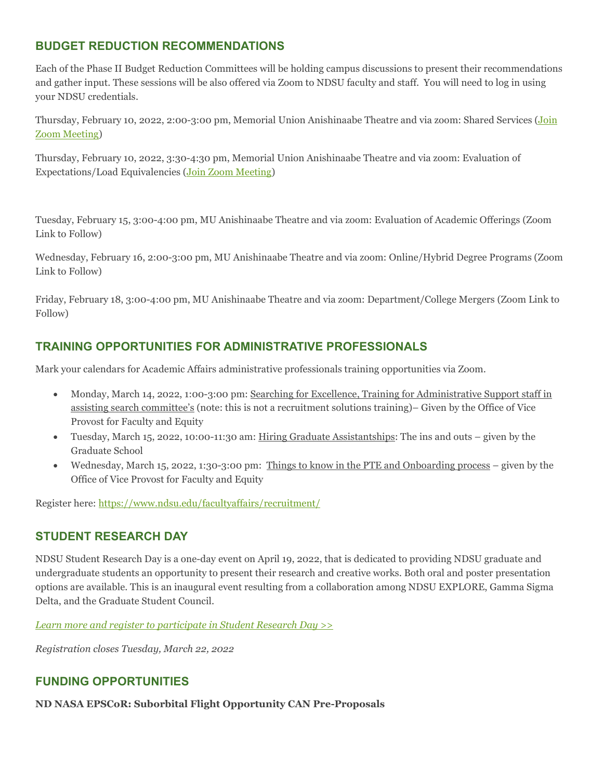## **BUDGET REDUCTION RECOMMENDATIONS**

Each of the Phase II Budget Reduction Committees will be holding campus discussions to present their recommendations and gather input. These sessions will be also offered via Zoom to NDSU faculty and staff. You will need to log in using your NDSU credentials.

Thursday, February 10, 2022, 2:00-3:00 pm, Memorial Union Anishinaabe Theatre and via zoom: Shared Services [\(Join](https://ndsu.zoom.us/j/94579049784?pwd=ZHNHMzhoNk5GKzhIVE5xVGFjUWtmdz09)  [Zoom Meeting\)](https://ndsu.zoom.us/j/94579049784?pwd=ZHNHMzhoNk5GKzhIVE5xVGFjUWtmdz09)

Thursday, February 10, 2022, 3:30-4:30 pm, Memorial Union Anishinaabe Theatre and via zoom: Evaluation of Expectations/Load Equivalencies [\(Join Zoom Meeting\)](https://ndsu.zoom.us/j/94579049784?pwd=ZHNHMzhoNk5GKzhIVE5xVGFjUWtmdz09)

Tuesday, February 15, 3:00-4:00 pm, MU Anishinaabe Theatre and via zoom: Evaluation of Academic Offerings (Zoom Link to Follow)

Wednesday, February 16, 2:00-3:00 pm, MU Anishinaabe Theatre and via zoom: Online/Hybrid Degree Programs (Zoom Link to Follow)

Friday, February 18, 3:00-4:00 pm, MU Anishinaabe Theatre and via zoom: Department/College Mergers (Zoom Link to Follow)

## **TRAINING OPPORTUNITIES FOR ADMINISTRATIVE PROFESSIONALS**

Mark your calendars for Academic Affairs administrative professionals training opportunities via Zoom.

- Monday, March 14, 2022, 1:00-3:00 pm: Searching for Excellence, Training for Administrative Support staff in assisting search committee's (note: this is not a recruitment solutions training)– Given by the Office of Vice Provost for Faculty and Equity
- Tuesday, March 15, 2022, 10:00-11:30 am: Hiring Graduate Assistantships: The ins and outs given by the Graduate School
- Wednesday, March 15, 2022, 1:30-3:00 pm: Things to know in the PTE and Onboarding process given by the Office of Vice Provost for Faculty and Equity

Register here:<https://www.ndsu.edu/facultyaffairs/recruitment/>

## **STUDENT RESEARCH DAY**

NDSU Student Research Day is a one-day event on April 19, 2022, that is dedicated to providing NDSU graduate and undergraduate students an opportunity to present their research and creative works. Both oral and poster presentation options are available. This is an inaugural event resulting from a collaboration among NDSU EXPLORE, Gamma Sigma Delta, and the Graduate Student Council.

*[Learn more and register to participate in Student Research Day >>](https://www.ndsu.edu/research/rca_events/student_research_day/)*

*Registration closes Tuesday, March 22, 2022*

## **FUNDING OPPORTUNITIES**

**ND NASA EPSCoR: Suborbital Flight Opportunity CAN Pre-Proposals**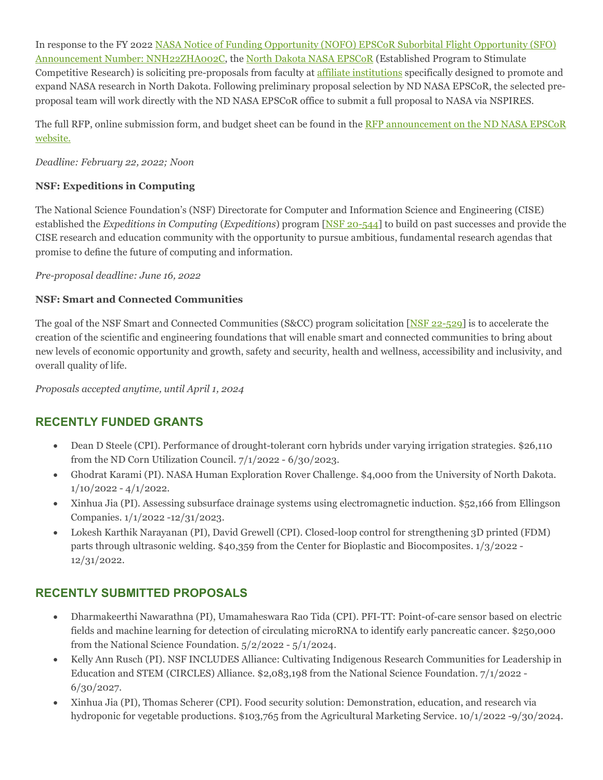In response to the FY 202[2 NASA Notice of Funding Opportunity \(NOFO\) EPSCoR Suborbital Flight Opportunity \(SFO\)](https://ndsu.us19.list-manage.com/track/click?u=6c5d98a898bad27df38e6394a&id=6bc5b0a2fd&e=ca813aff99)  [Announcement Number: NNH22ZHA002C,](https://ndsu.us19.list-manage.com/track/click?u=6c5d98a898bad27df38e6394a&id=6bc5b0a2fd&e=ca813aff99) the [North Dakota NASA EPSCoR](https://ndsu.us19.list-manage.com/track/click?u=6c5d98a898bad27df38e6394a&id=f512909f90&e=ca813aff99) (Established Program to Stimulate Competitive Research) is soliciting pre-proposals from faculty at [affiliate institutions](https://ndsu.us19.list-manage.com/track/click?u=6c5d98a898bad27df38e6394a&id=4ffb898f98&e=ca813aff99) specifically designed to promote and expand NASA research in North Dakota. Following preliminary proposal selection by ND NASA EPSCoR, the selected preproposal team will work directly with the ND NASA EPSCoR office to submit a full proposal to NASA via NSPIRES.

The full RFP, online submission form, and budget sheet can be found in the RFP announcement on the ND NASA EPSCoR [website.](https://ndsu.us19.list-manage.com/track/click?u=6c5d98a898bad27df38e6394a&id=2e06ef69c0&e=ca813aff99)

*Deadline: February 22, 2022; Noon*

#### **NSF: Expeditions in Computing**

The National Science Foundation's (NSF) Directorate for Computer and Information Science and Engineering (CISE) established the *Expeditions in Computing* (*Expeditions*) program [\[NSF 20-544\]](https://ndsu.us19.list-manage.com/track/click?u=6c5d98a898bad27df38e6394a&id=9535fef78a&e=ca813aff99) to build on past successes and provide the CISE research and education community with the opportunity to pursue ambitious, fundamental research agendas that promise to define the future of computing and information.

*Pre-proposal deadline: June 16, 2022*

#### **NSF: Smart and Connected Communities**

The goal of the NSF Smart and Connected Communities (S&CC) program solicitation  $[NSF 22-529]$  is to accelerate the creation of the scientific and engineering foundations that will enable smart and connected communities to bring about new levels of economic opportunity and growth, safety and security, health and wellness, accessibility and inclusivity, and overall quality of life.

*Proposals accepted anytime, until April 1, 2024*

## **RECENTLY FUNDED GRANTS**

- Dean D Steele (CPI). Performance of drought-tolerant corn hybrids under varying irrigation strategies. \$26,110 from the ND Corn Utilization Council. 7/1/2022 - 6/30/2023.
- Ghodrat Karami (PI). NASA Human Exploration Rover Challenge. \$4,000 from the University of North Dakota.  $1/10/2022 - 4/1/2022$ .
- Xinhua Jia (PI). Assessing subsurface drainage systems using electromagnetic induction. \$52,166 from Ellingson Companies. 1/1/2022 -12/31/2023.
- Lokesh Karthik Narayanan (PI), David Grewell (CPI). Closed-loop control for strengthening 3D printed (FDM) parts through ultrasonic welding. \$40,359 from the Center for Bioplastic and Biocomposites. 1/3/2022 - 12/31/2022.

## **RECENTLY SUBMITTED PROPOSALS**

- Dharmakeerthi Nawarathna (PI), Umamaheswara Rao Tida (CPI). PFI-TT: Point-of-care sensor based on electric fields and machine learning for detection of circulating microRNA to identify early pancreatic cancer. \$250,000 from the National Science Foundation. 5/2/2022 - 5/1/2024.
- Kelly Ann Rusch (PI). NSF INCLUDES Alliance: Cultivating Indigenous Research Communities for Leadership in Education and STEM (CIRCLES) Alliance. \$2,083,198 from the National Science Foundation. 7/1/2022 - 6/30/2027.
- Xinhua Jia (PI), Thomas Scherer (CPI). Food security solution: Demonstration, education, and research via hydroponic for vegetable productions. \$103,765 from the Agricultural Marketing Service. 10/1/2022 -9/30/2024.